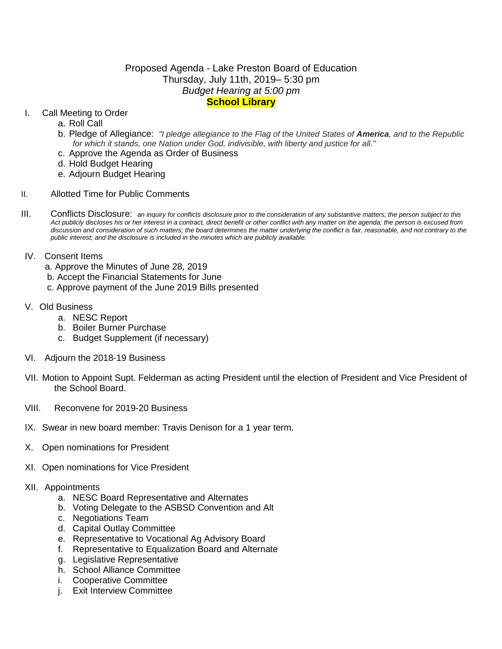## Proposed Agenda - Lake Preston Board of Education Thursday, July 11th, 2019– 5:30 pm *Budget Hearing at 5:00 pm* **School Library**

### I. Call Meeting to Order

- a. Roll Call
- b. Pledge of Allegiance: *"I pledge allegiance to the Flag of the United States of America, and to the Republic for which it stands, one Nation under God, indivisible, with liberty and justice for all."*
- c. Approve the Agenda as Order of Business
- d. Hold Budget Hearing
- e. Adjourn Budget Hearing
- II. Allotted Time for Public Comments
- III. Conflicts Disclosure: *an inquiry for conflicts disclosure prior to the consideration of any substantive matters; the person subject to this*  Act publicly discloses his or her interest in a contract, direct benefit or other conflict with any matter on the agenda; the person is excused from discussion and consideration of such matters; the board determines the matter underlying the conflict is fair, reasonable, and not contrary to the *public interest; and the disclosure is included in the minutes which are publicly available.*
- IV. Consent Items
	- a. Approve the Minutes of June 28, 2019
	- b. Accept the Financial Statements for June
	- c. Approve payment of the June 2019 Bills presented
- V. Old Business
	- a. NESC Report
	- b. Boiler Burner Purchase
	- c. Budget Supplement (if necessary)
- VI. Adjourn the 2018-19 Business
- VII. Motion to Appoint Supt. Felderman as acting President until the election of President and Vice President of the School Board.
- VIII. Reconvene for 2019-20 Business
- IX. Swear in new board member: Travis Denison for a 1 year term.
- X. Open nominations for President
- XI. Open nominations for Vice President
- XII. Appointments
	- a. NESC Board Representative and Alternates
	- b. Voting Delegate to the ASBSD Convention and Alt
	- c. Negotiations Team
	- d. Capital Outlay Committee
	- e. Representative to Vocational Ag Advisory Board
	- f. Representative to Equalization Board and Alternate
	- g. Legislative Representative
	- h. School Alliance Committee
	- i. Cooperative Committee
	- j. Exit Interview Committee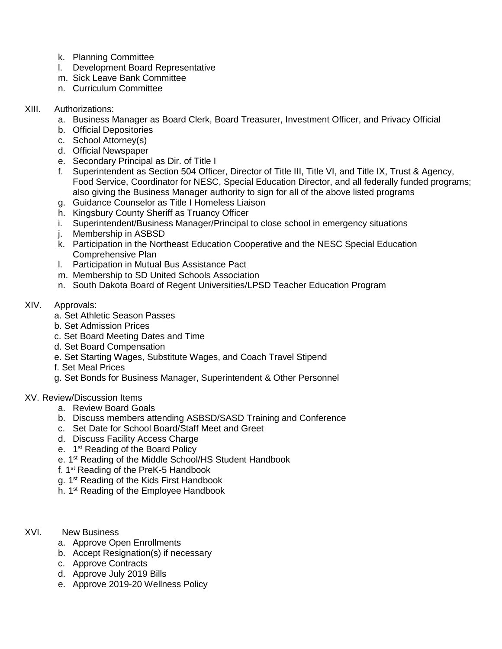- k. Planning Committee
- l. Development Board Representative
- m. Sick Leave Bank Committee
- n. Curriculum Committee

## XIII. Authorizations:

- a. Business Manager as Board Clerk, Board Treasurer, Investment Officer, and Privacy Official
- b. Official Depositories
- c. School Attorney(s)
- d. Official Newspaper
- e. Secondary Principal as Dir. of Title I
- f. Superintendent as Section 504 Officer, Director of Title III, Title VI, and Title IX, Trust & Agency, Food Service, Coordinator for NESC, Special Education Director, and all federally funded programs; also giving the Business Manager authority to sign for all of the above listed programs
- g. Guidance Counselor as Title I Homeless Liaison
- h. Kingsbury County Sheriff as Truancy Officer
- i. Superintendent/Business Manager/Principal to close school in emergency situations
- j. Membership in ASBSD
- k. Participation in the Northeast Education Cooperative and the NESC Special Education Comprehensive Plan
- l. Participation in Mutual Bus Assistance Pact
- m. Membership to SD United Schools Association
- n. South Dakota Board of Regent Universities/LPSD Teacher Education Program
- XIV. Approvals:
	- a. Set Athletic Season Passes
	- b. Set Admission Prices
	- c. Set Board Meeting Dates and Time
	- d. Set Board Compensation
	- e. Set Starting Wages, Substitute Wages, and Coach Travel Stipend
	- f. Set Meal Prices
	- g. Set Bonds for Business Manager, Superintendent & Other Personnel

### XV. Review/Discussion Items

- a. Review Board Goals
- b. Discuss members attending ASBSD/SASD Training and Conference
- c. Set Date for School Board/Staff Meet and Greet
- d. Discuss Facility Access Charge
- e. 1<sup>st</sup> Reading of the Board Policy
- e. 1st Reading of the Middle School/HS Student Handbook
- f. 1st Reading of the PreK-5 Handbook
- g. 1<sup>st</sup> Reading of the Kids First Handbook
- h. 1<sup>st</sup> Reading of the Employee Handbook
- XVI. New Business
	- a. Approve Open Enrollments
	- b. Accept Resignation(s) if necessary
	- c. Approve Contracts
	- d. Approve July 2019 Bills
	- e. Approve 2019-20 Wellness Policy